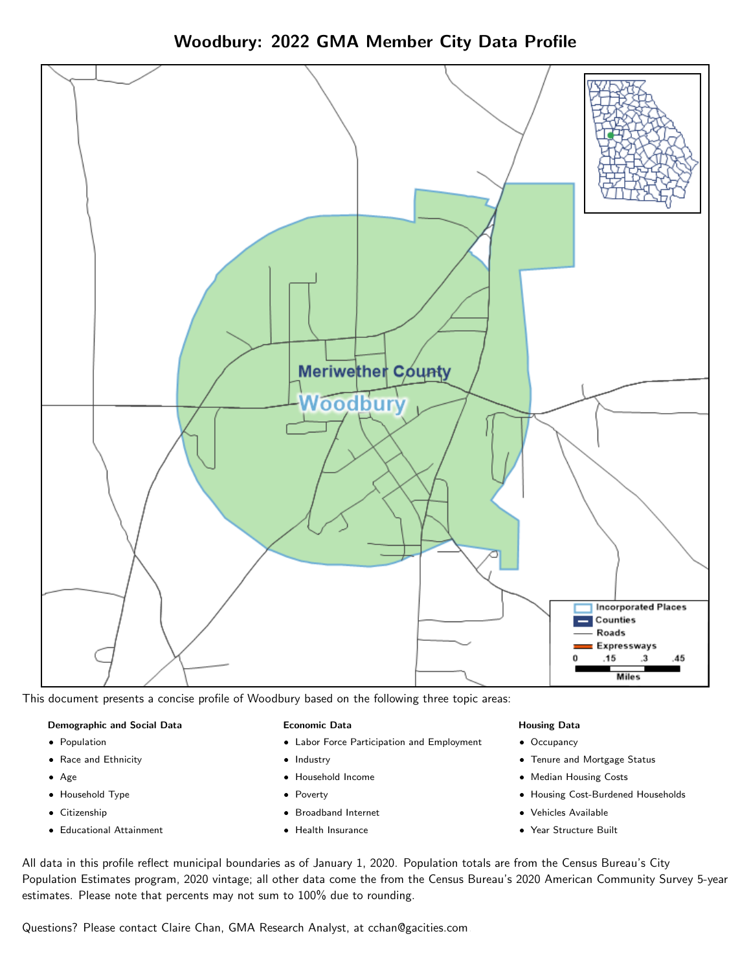



This document presents a concise profile of Woodbury based on the following three topic areas:

### Demographic and Social Data

- **•** Population
- Race and Ethnicity
- Age
- Household Type
- **Citizenship**
- Educational Attainment

### Economic Data

- Labor Force Participation and Employment
- Industry
- Household Income
- Poverty
- Broadband Internet
- Health Insurance

#### Housing Data

- Occupancy
- Tenure and Mortgage Status
- Median Housing Costs
- Housing Cost-Burdened Households
- Vehicles Available
- Year Structure Built

All data in this profile reflect municipal boundaries as of January 1, 2020. Population totals are from the Census Bureau's City Population Estimates program, 2020 vintage; all other data come the from the Census Bureau's 2020 American Community Survey 5-year estimates. Please note that percents may not sum to 100% due to rounding.

Questions? Please contact Claire Chan, GMA Research Analyst, at [cchan@gacities.com.](mailto:cchan@gacities.com)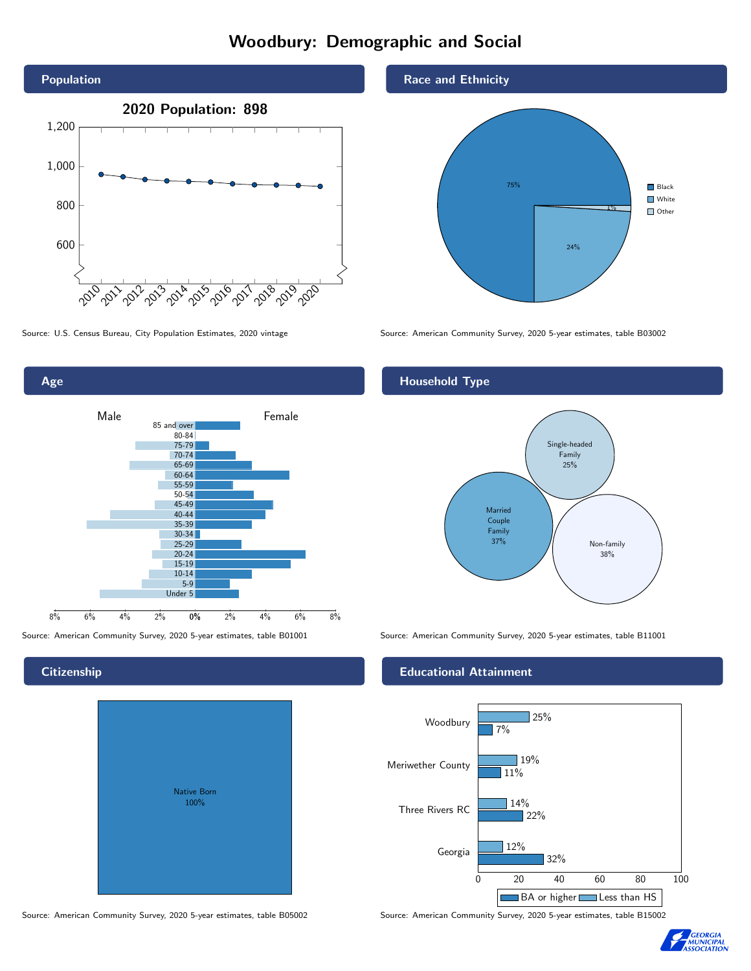# Woodbury: Demographic and Social



Age 0% 2% 4% 6% 8% Male **Female** Female 8% 6% 4% 2% 85 and over 80-84 75-79 70-74 65-69 60-64 55-59 50-54 45-49 40-44 35-39 30-34 25-29 20-24 15-19  $10-14$ 5-9 Under 5

# **Citizenship**

| Native Born<br>100% |  |
|---------------------|--|

Race and Ethnicity



Source: U.S. Census Bureau, City Population Estimates, 2020 vintage Source: American Community Survey, 2020 5-year estimates, table B03002

# Household Type



Source: American Community Survey, 2020 5-year estimates, table B01001 Source: American Community Survey, 2020 5-year estimates, table B11001

### Educational Attainment



Source: American Community Survey, 2020 5-year estimates, table B05002 Source: American Community Survey, 2020 5-year estimates, table B15002

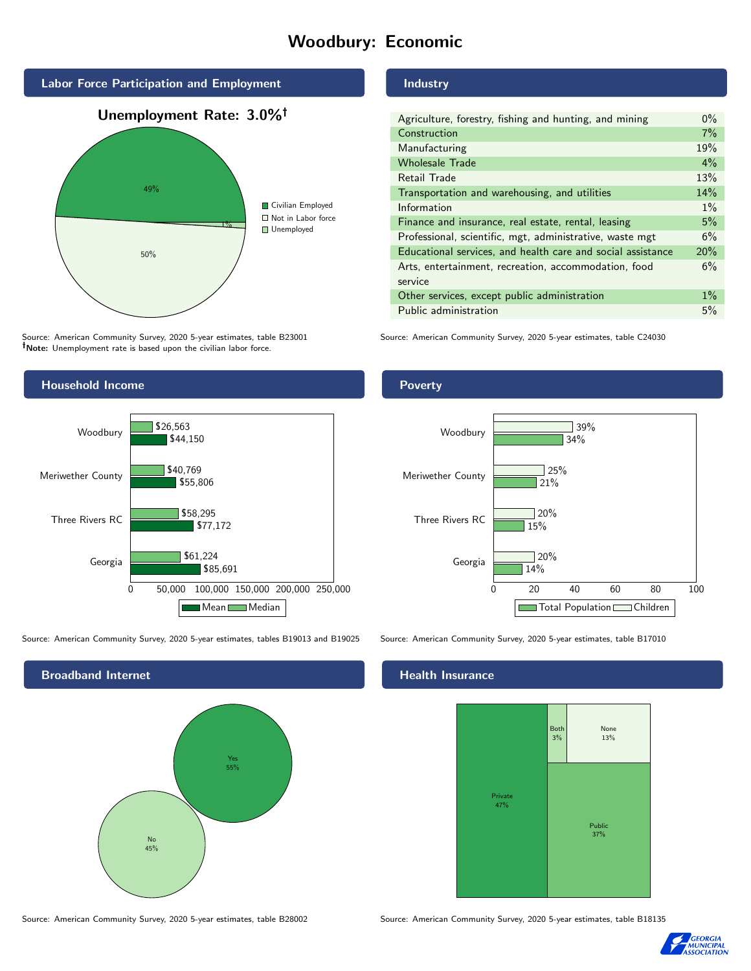# Woodbury: Economic



Source: American Community Survey, 2020 5-year estimates, table B23001 Note: Unemployment rate is based upon the civilian labor force.



Source: American Community Survey, 2020 5-year estimates, tables B19013 and B19025 Source: American Community Survey, 2020 5-year estimates, table B17010

Broadband Internet No 45% Yes 55%

# Industry

| $0\%$ |
|-------|
|       |
| 7%    |
| 19%   |
| $4\%$ |
| 13%   |
| 14%   |
| $1\%$ |
| 5%    |
| 6%    |
| 20%   |
| 6%    |
|       |
| $1\%$ |
| 5%    |
|       |

Source: American Community Survey, 2020 5-year estimates, table C24030

## Poverty



#### Health Insurance



Source: American Community Survey, 2020 5-year estimates, table B28002 Source: American Community Survey, 2020 5-year estimates, table B18135